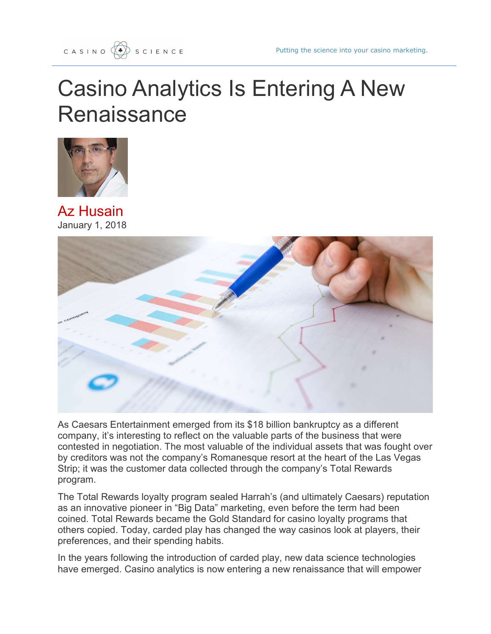## Casino Analytics Is Entering A New **Renaissance**



Az Husain January 1, 2018



As Caesars Entertainment emerged from its \$18 billion bankruptcy as a different company, it's interesting to reflect on the valuable parts of the business that were contested in negotiation. The most valuable of the individual assets that was fought over by creditors was not the company's Romanesque resort at the heart of the Las Vegas Strip; it was the customer data collected through the company's Total Rewards program.

The Total Rewards loyalty program sealed Harrah's (and ultimately Caesars) reputation as an innovative pioneer in "Big Data" marketing, even before the term had been coined. Total Rewards became the Gold Standard for casino loyalty programs that others copied. Today, carded play has changed the way casinos look at players, their preferences, and their spending habits.

In the years following the introduction of carded play, new data science technologies have emerged. Casino analytics is now entering a new renaissance that will empower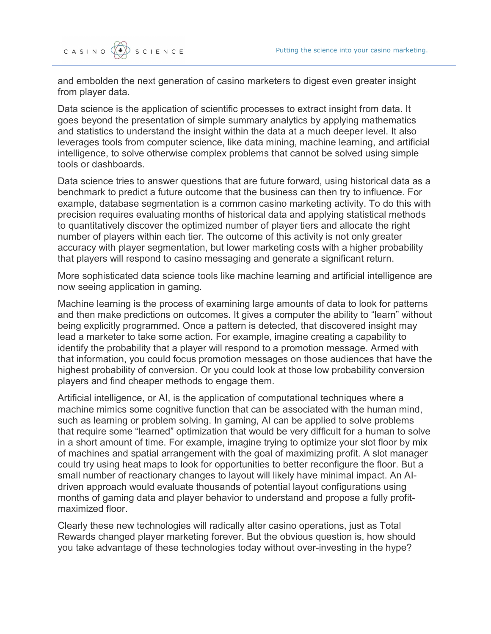and embolden the next generation of casino marketers to digest even greater insight from player data.

Data science is the application of scientific processes to extract insight from data. It goes beyond the presentation of simple summary analytics by applying mathematics and statistics to understand the insight within the data at a much deeper level. It also leverages tools from computer science, like data mining, machine learning, and artificial intelligence, to solve otherwise complex problems that cannot be solved using simple tools or dashboards.

Data science tries to answer questions that are future forward, using historical data as a benchmark to predict a future outcome that the business can then try to influence. For example, database segmentation is a common casino marketing activity. To do this with precision requires evaluating months of historical data and applying statistical methods to quantitatively discover the optimized number of player tiers and allocate the right number of players within each tier. The outcome of this activity is not only greater accuracy with player segmentation, but lower marketing costs with a higher probability that players will respond to casino messaging and generate a significant return.

More sophisticated data science tools like machine learning and artificial intelligence are now seeing application in gaming.

Machine learning is the process of examining large amounts of data to look for patterns and then make predictions on outcomes. It gives a computer the ability to "learn" without being explicitly programmed. Once a pattern is detected, that discovered insight may lead a marketer to take some action. For example, imagine creating a capability to identify the probability that a player will respond to a promotion message. Armed with that information, you could focus promotion messages on those audiences that have the highest probability of conversion. Or you could look at those low probability conversion players and find cheaper methods to engage them.

Artificial intelligence, or AI, is the application of computational techniques where a machine mimics some cognitive function that can be associated with the human mind, such as learning or problem solving. In gaming, AI can be applied to solve problems that require some "learned" optimization that would be very difficult for a human to solve in a short amount of time. For example, imagine trying to optimize your slot floor by mix of machines and spatial arrangement with the goal of maximizing profit. A slot manager could try using heat maps to look for opportunities to better reconfigure the floor. But a small number of reactionary changes to layout will likely have minimal impact. An AIdriven approach would evaluate thousands of potential layout configurations using months of gaming data and player behavior to understand and propose a fully profitmaximized floor.

Clearly these new technologies will radically alter casino operations, just as Total Rewards changed player marketing forever. But the obvious question is, how should you take advantage of these technologies today without over-investing in the hype?